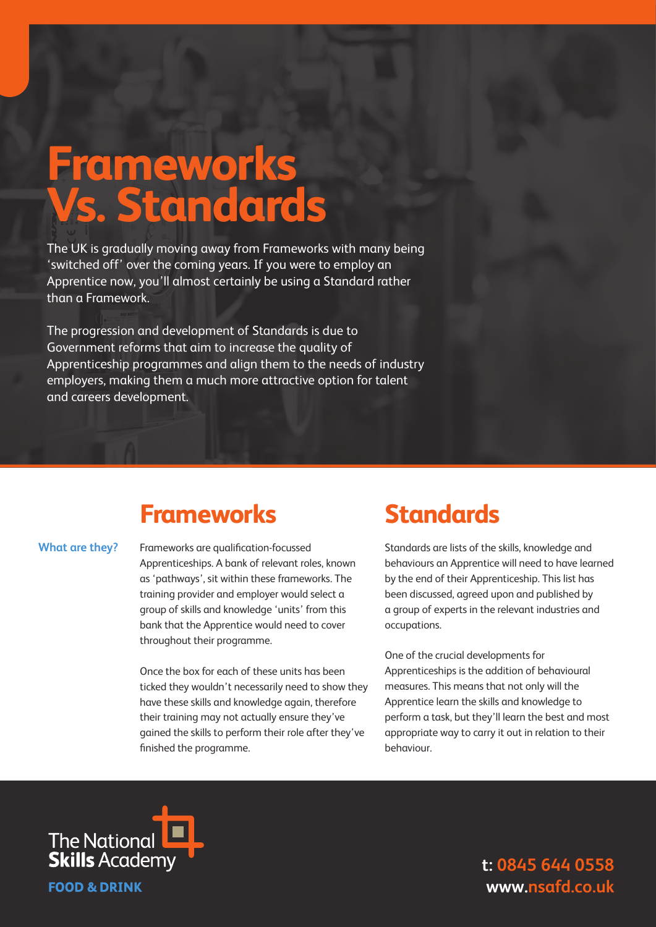# **Frameworks Vs. Standards**

The UK is gradually moving away from Frameworks with many being 'switched off' over the coming years. If you were to employ an Apprentice now, you'll almost certainly be using a Standard rather than a Framework.

The progression and development of Standards is due to Government reforms that aim to increase the quality of Apprenticeship programmes and align them to the needs of industry employers, making them a much more attractive option for talent and careers development.

# **Frameworks**

### **What are they?**

Frameworks are qualification-focussed Apprenticeships. A bank of relevant roles, known as 'pathways', sit within these frameworks. The training provider and employer would select a group of skills and knowledge 'units' from this bank that the Apprentice would need to cover throughout their programme.

Once the box for each of these units has been ticked they wouldn't necessarily need to show they have these skills and knowledge again, therefore their training may not actually ensure they've gained the skills to perform their role after they've finished the programme.

### **Standards**

Standards are lists of the skills, knowledge and behaviours an Apprentice will need to have learned by the end of their Apprenticeship. This list has been discussed, agreed upon and published by a group of experts in the relevant industries and occupations.

One of the crucial developments for Apprenticeships is the addition of behavioural measures. This means that not only will the Apprentice learn the skills and knowledge to perform a task, but they'll learn the best and most appropriate way to carry it out in relation to their behaviour.



**t: 0845 644 0558 www.nsafd.co.uk**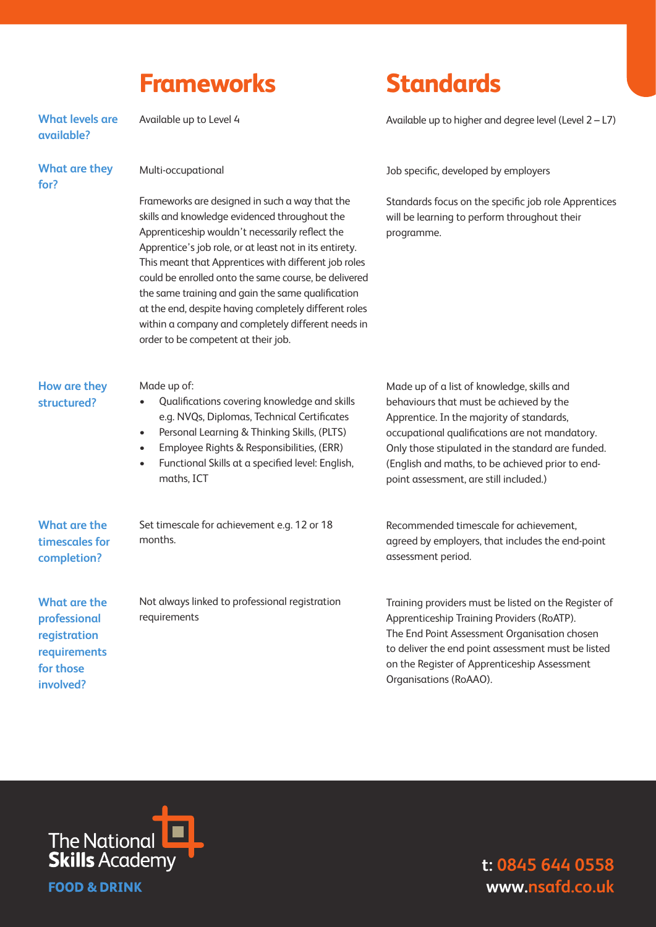### **Frameworks**

#### Available up to Level 4 **What levels are available?**

**What are they for?** 

Multi-occupational

Frameworks are designed in such a way that the skills and knowledge evidenced throughout the Apprenticeship wouldn't necessarily reflect the Apprentice's job role, or at least not in its entirety. This meant that Apprentices with different job roles could be enrolled onto the same course, be delivered the same training and gain the same qualification at the end, despite having completely different roles within a company and completely different needs in order to be competent at their job.

## **Standards**

Available up to higher and degree level (Level 2 – L7)

Job specific, developed by employers

Standards focus on the specific job role Apprentices will be learning to perform throughout their programme.

### **How are they structured?**

Made up of:

- Qualifications covering knowledge and skills e.g. NVQs, Diplomas, Technical Certificates
- Personal Learning & Thinking Skills, (PLTS)
- Employee Rights & Responsibilities, (ERR)
- Functional Skills at a specified level: English, maths, ICT

**What are the timescales for completion?** 

**What are the professional registration requirements for those involved?**

Set timescale for achievement e.g. 12 or 18 months.

Not always linked to professional registration requirements

Made up of a list of knowledge, skills and behaviours that must be achieved by the Apprentice. In the majority of standards, occupational qualifications are not mandatory. Only those stipulated in the standard are funded. (English and maths, to be achieved prior to endpoint assessment, are still included.)

Recommended timescale for achievement, agreed by employers, that includes the end-point assessment period.

Training providers must be listed on the Register of Apprenticeship Training Providers (RoATP). The End Point Assessment Organisation chosen to deliver the end point assessment must be listed on the Register of Apprenticeship Assessment Organisations (RoAAO).



**t: 0845 644 0558 www.nsafd.co.uk**